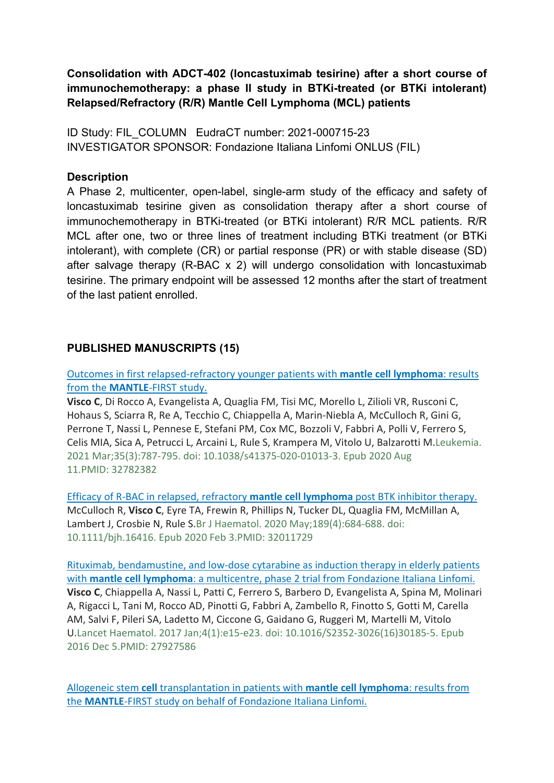**Consolidation with ADCT-402 (loncastuximab tesirine) after a short course of immunochemotherapy: a phase II study in BTKi-treated (or BTKi intolerant) Relapsed/Refractory (R/R) Mantle Cell Lymphoma (MCL) patients** 

ID Study: FIL\_COLUMN EudraCT number: 2021-000715-23 INVESTIGATOR SPONSOR: Fondazione Italiana Linfomi ONLUS (FIL)

## **Description**

A Phase 2, multicenter, open-label, single-arm study of the efficacy and safety of loncastuximab tesirine given as consolidation therapy after a short course of immunochemotherapy in BTKi-treated (or BTKi intolerant) R/R MCL patients. R/R MCL after one, two or three lines of treatment including BTKi treatment (or BTKi intolerant), with complete (CR) or partial response (PR) or with stable disease (SD) after salvage therapy (R-BAC x 2) will undergo consolidation with loncastuximab tesirine. The primary endpoint will be assessed 12 months after the start of treatment of the last patient enrolled.

## **PUBLISHED MANUSCRIPTS (15)**

Outcomes in first relapsed‐refractory younger patients with **mantle cell lymphoma**: results from the **MANTLE**‐FIRST study.

**Visco C**, Di Rocco A, Evangelista A, Quaglia FM, Tisi MC, Morello L, Zilioli VR, Rusconi C, Hohaus S, Sciarra R, Re A, Tecchio C, Chiappella A, Marin‐Niebla A, McCulloch R, Gini G, Perrone T, Nassi L, Pennese E, Stefani PM, Cox MC, Bozzoli V, Fabbri A, Polli V, Ferrero S, Celis MIA, Sica A, Petrucci L, Arcaini L, Rule S, Krampera M, Vitolo U, Balzarotti M.Leukemia. 2021 Mar;35(3):787‐795. doi: 10.1038/s41375‐020‐01013‐3. Epub 2020 Aug 11.PMID: 32782382

Efficacy of R‐BAC in relapsed, refractory **mantle cell lymphoma** post BTK inhibitor therapy. McCulloch R, **Visco C**, Eyre TA, Frewin R, Phillips N, Tucker DL, Quaglia FM, McMillan A, Lambert J, Crosbie N, Rule S.Br J Haematol. 2020 May;189(4):684‐688. doi: 10.1111/bjh.16416. Epub 2020 Feb 3.PMID: 32011729

Rituximab, bendamustine, and low‐dose cytarabine as induction therapy in elderly patients with **mantle cell lymphoma**: a multicentre, phase 2 trial from Fondazione Italiana Linfomi. **Visco C**, Chiappella A, Nassi L, Patti C, Ferrero S, Barbero D, Evangelista A, Spina M, Molinari A, Rigacci L, Tani M, Rocco AD, Pinotti G, Fabbri A, Zambello R, Finotto S, Gotti M, Carella AM, Salvi F, Pileri SA, Ladetto M, Ciccone G, Gaidano G, Ruggeri M, Martelli M, Vitolo U.Lancet Haematol. 2017 Jan;4(1):e15‐e23. doi: 10.1016/S2352‐3026(16)30185‐5. Epub 2016 Dec 5.PMID: 27927586

Allogeneic stem **cell** transplantation in patients with **mantle cell lymphoma**: results from the **MANTLE**‐FIRST study on behalf of Fondazione Italiana Linfomi.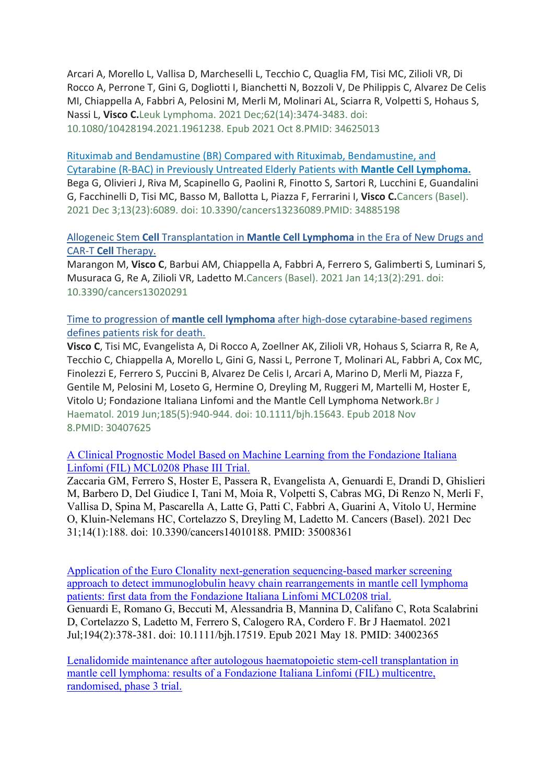Arcari A, Morello L, Vallisa D, Marcheselli L, Tecchio C, Quaglia FM, Tisi MC, Zilioli VR, Di Rocco A, Perrone T, Gini G, Dogliotti I, Bianchetti N, Bozzoli V, De Philippis C, Alvarez De Celis MI, Chiappella A, Fabbri A, Pelosini M, Merli M, Molinari AL, Sciarra R, Volpetti S, Hohaus S, Nassi L, **Visco C.**Leuk Lymphoma. 2021 Dec;62(14):3474‐3483. doi: 10.1080/10428194.2021.1961238. Epub 2021 Oct 8.PMID: 34625013

Rituximab and Bendamustine (BR) Compared with Rituximab, Bendamustine, and Cytarabine (R‐BAC) in Previously Untreated Elderly Patients with **Mantle Cell Lymphoma.** Bega G, Olivieri J, Riva M, Scapinello G, Paolini R, Finotto S, Sartori R, Lucchini E, Guandalini G, Facchinelli D, Tisi MC, Basso M, Ballotta L, Piazza F, Ferrarini I, **Visco C.**Cancers (Basel). 2021 Dec 3;13(23):6089. doi: 10.3390/cancers13236089.PMID: 34885198

## Allogeneic Stem **Cell** Transplantation in **Mantle Cell Lymphoma** in the Era of New Drugs and CAR‐T **Cell** Therapy.

Marangon M, **Visco C**, Barbui AM, Chiappella A, Fabbri A, Ferrero S, Galimberti S, Luminari S, Musuraca G, Re A, Zilioli VR, Ladetto M.Cancers (Basel). 2021 Jan 14;13(2):291. doi: 10.3390/cancers13020291

Time to progression of **mantle cell lymphoma** after high‐dose cytarabine‐based regimens defines patients risk for death.

**Visco C**, Tisi MC, Evangelista A, Di Rocco A, Zoellner AK, Zilioli VR, Hohaus S, Sciarra R, Re A, Tecchio C, Chiappella A, Morello L, Gini G, Nassi L, Perrone T, Molinari AL, Fabbri A, Cox MC, Finolezzi E, Ferrero S, Puccini B, Alvarez De Celis I, Arcari A, Marino D, Merli M, Piazza F, Gentile M, Pelosini M, Loseto G, Hermine O, Dreyling M, Ruggeri M, Martelli M, Hoster E, Vitolo U; Fondazione Italiana Linfomi and the Mantle Cell Lymphoma Network.Br J Haematol. 2019 Jun;185(5):940‐944. doi: 10.1111/bjh.15643. Epub 2018 Nov 8.PMID: 30407625

A Clinical Prognostic Model Based on Machine Learning from the Fondazione Italiana Linfomi (FIL) MCL0208 Phase III Trial.

Zaccaria GM, Ferrero S, Hoster E, Passera R, Evangelista A, Genuardi E, Drandi D, Ghislieri M, Barbero D, Del Giudice I, Tani M, Moia R, Volpetti S, Cabras MG, Di Renzo N, Merli F, Vallisa D, Spina M, Pascarella A, Latte G, Patti C, Fabbri A, Guarini A, Vitolo U, Hermine O, Kluin-Nelemans HC, Cortelazzo S, Dreyling M, Ladetto M. Cancers (Basel). 2021 Dec 31;14(1):188. doi: 10.3390/cancers14010188. PMID: 35008361

Application of the Euro Clonality next-generation sequencing-based marker screening approach to detect immunoglobulin heavy chain rearrangements in mantle cell lymphoma patients: first data from the Fondazione Italiana Linfomi MCL0208 trial. Genuardi E, Romano G, Beccuti M, Alessandria B, Mannina D, Califano C, Rota Scalabrini D, Cortelazzo S, Ladetto M, Ferrero S, Calogero RA, Cordero F. Br J Haematol. 2021

Jul;194(2):378-381. doi: 10.1111/bjh.17519. Epub 2021 May 18. PMID: 34002365

Lenalidomide maintenance after autologous haematopoietic stem-cell transplantation in mantle cell lymphoma: results of a Fondazione Italiana Linfomi (FIL) multicentre, randomised, phase 3 trial.